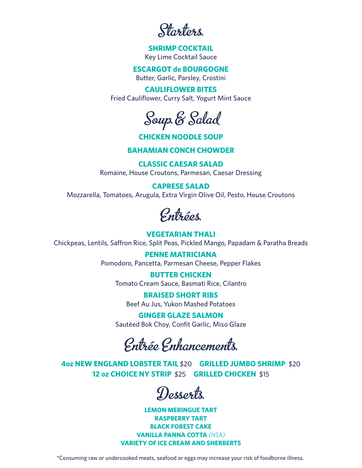Starters

# **SHRIMP COCKTAIL**

Key Lime Cocktail Sauce

## **ESCARGOT de BOURGOGNE**

Butter, Garlic, Parsley, Crostini

# **CAULIFLOWER BITES**

Fried Cauliflower, Curry Salt, Yogurt Mint Sauce

Soup & Salad

# **CHICKEN NOODLE SOUP**

# **BAHAMIAN CONCH CHOWDER**

**CLASSIC CAESAR SALAD**  Romaine, House Croutons, Parmesan, Caesar Dressing

# **CAPRESE SALAD**

Mozzarella, Tomatoes, Arugula, Extra Virgin Olive Oil, Pesto, House Croutons

Entrées

# **VEGETARIAN THALI**

Chickpeas, Lentils, Saffron Rice, Split Peas, Pickled Mango, Papadam & Paratha Breads

**PENNE MATRICIANA** Pomodoro, Pancetta, Parmesan Cheese, Pepper Flakes

**BUTTER CHICKEN** Tomato Cream Sauce, Basmati Rice, Cilantro

**BRAISED SHORT RIBS** Beef Au Jus, Yukon Mashed Potatoes

**GINGER GLAZE SALMON** Sautéed Bok Choy, Confit Garlic, Miso Glaze

Entrée Enhancements

**4oz NEW ENGLAND LOBSTER TAIL** \$20 **GRILLED JUMBO SHRIMP** \$20 **12 oz CHOICE NY STRIP** \$25 **GRILLED CHICKEN** \$15

Desserts

**LEMON MERINGUE TART RASPBERRY TART BLACK FOREST CAKE VANILLA PANNA COTTA** *(NSA)* **VARIETY OF ICE CREAM AND SHERBERTS**

\*Consuming raw or undercooked meats, seafood or eggs may increase your risk of foodborne illness.